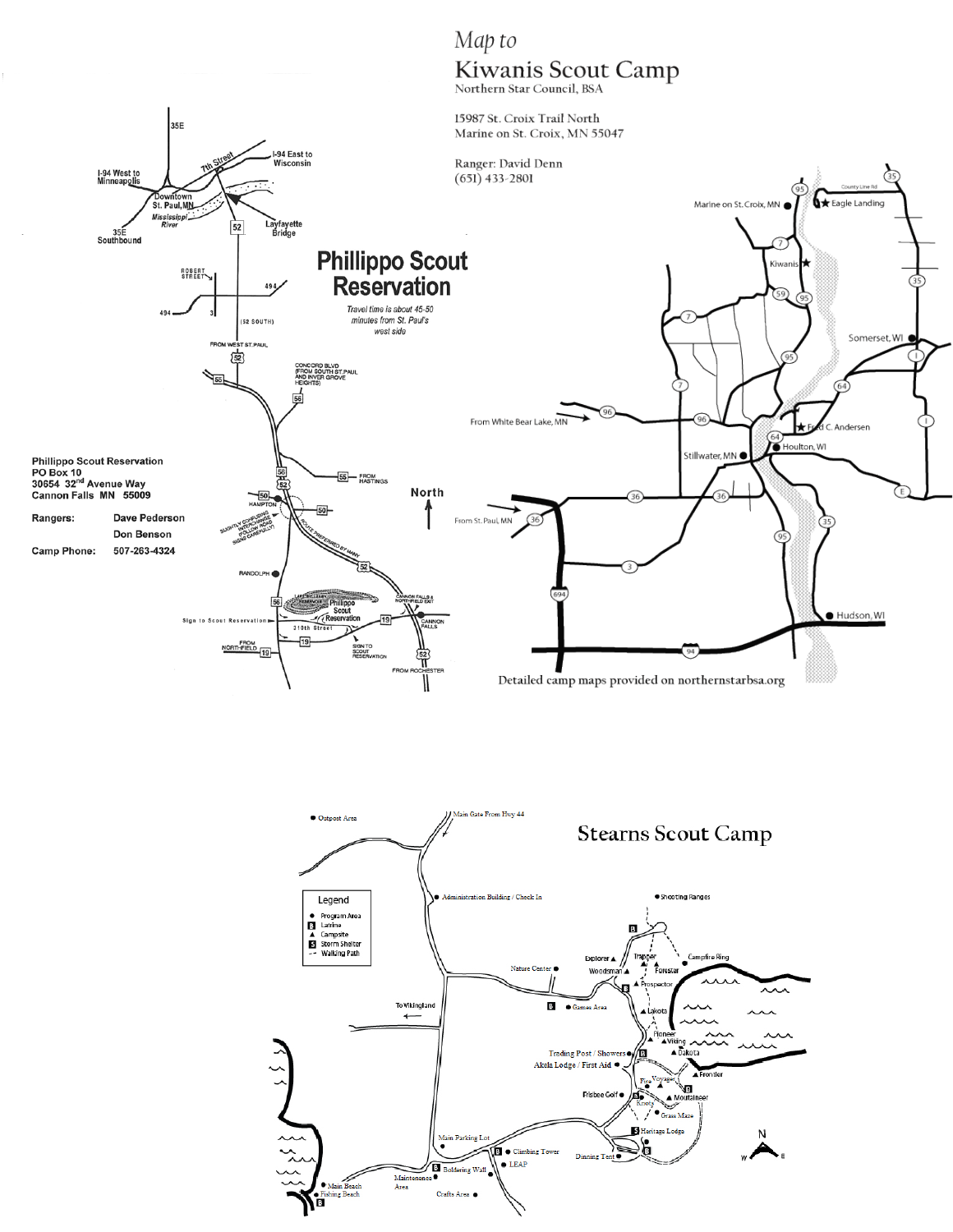